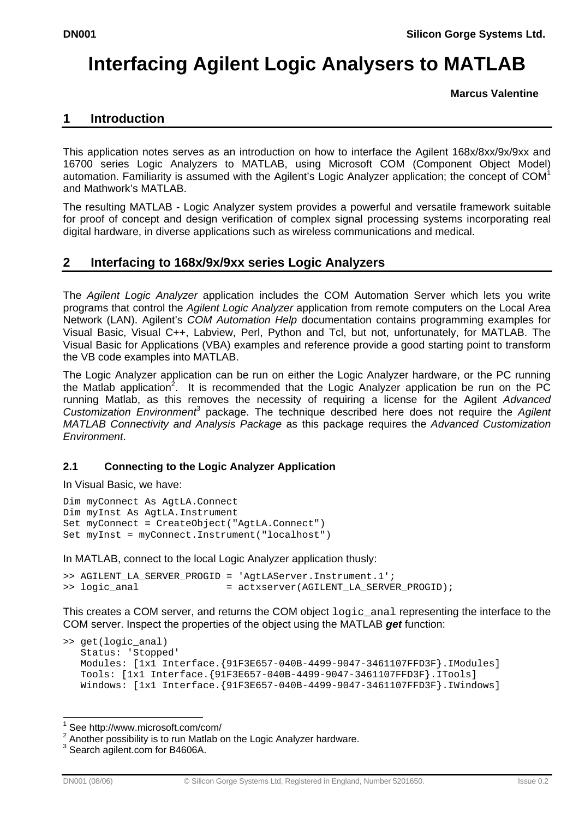# **Interfacing Agilent Logic Analysers to MATLAB**

 **Marcus Valentine** 

## **1 Introduction**

This application notes serves as an introduction on how to interface the Agilent 168x/8xx/9x/9xx and 16700 series Logic Analyzers to MATLAB, using Microsoft COM (Component Object Model) automation. Familiarity is assumed with the Agilent's Logic Analyzer application; the concept of COM<sup>1</sup> and Mathwork's MATLAB.

The resulting MATLAB - Logic Analyzer system provides a powerful and versatile framework suitable for proof of concept and design verification of complex signal processing systems incorporating real digital hardware, in diverse applications such as wireless communications and medical.

## **2 Interfacing to 168x/9x/9xx series Logic Analyzers**

The *Agilent Logic Analyzer* application includes the COM Automation Server which lets you write programs that control the *Agilent Logic Analyzer* application from remote computers on the Local Area Network (LAN). Agilent's *COM Automation Help* documentation contains programming examples for Visual Basic, Visual C++, Labview, Perl, Python and Tcl, but not, unfortunately, for MATLAB. The Visual Basic for Applications (VBA) examples and reference provide a good starting point to transform the VB code examples into MATLAB.

The Logic Analyzer application can be run on either the Logic Analyzer hardware, or the PC running the Matlab application<sup>2</sup>. It is recommended that the Logic Analyzer application be run on the PC running Matlab, as this removes the necessity of requiring a license for the Agilent *Advanced*  Customization Environment<sup>3</sup> package. The technique described here does not require the Agilent *MATLAB Connectivity and Analysis Package* as this package requires the *Advanced Customization Environment*.

## **2.1 Connecting to the Logic Analyzer Application**

In Visual Basic, we have:

```
Dim myConnect As AgtLA.Connect 
Dim myInst As AgtLA.Instrument 
Set myConnect = CreateObject("AgtLA.Connect") 
Set myInst = myConnect.Instrument("localhost")
```
In MATLAB, connect to the local Logic Analyzer application thusly:

```
>> AGILENT_LA_SERVER_PROGID = 'AgtLAServer.Instrument.1'; 
>> logic_anal = actxserver(AGILENT_LA_SERVER_PROGID);
```
This creates a COM server, and returns the COM object logic\_anal representing the interface to the COM server. Inspect the properties of the object using the MATLAB *get* function:

```
>> get(logic_anal) 
   Status: 'Stopped' 
   Modules: [1x1 Interface.{91F3E657-040B-4499-9047-3461107FFD3F}.IModules] 
   Tools: [1x1 Interface.{91F3E657-040B-4499-9047-3461107FFD3F}.ITools] 
  Windows: [1x1 Interface. {91F3E657-040B-4499-9047-3461107FFD3F}. IWindows]
```
 1 See http://www.microsoft.com/com/

 $2$  Another possibility is to run Matlab on the Logic Analyzer hardware.

<sup>3</sup> Search agilent.com for B4606A.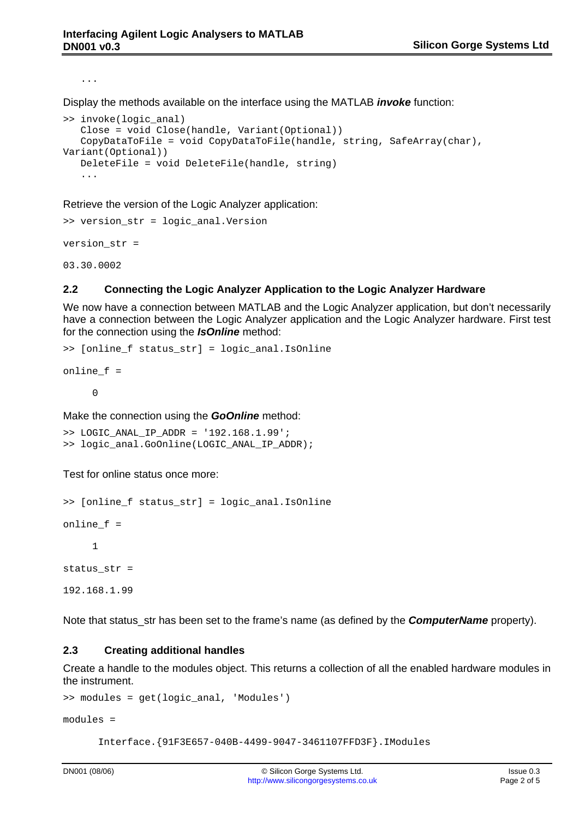...

Display the methods available on the interface using the MATLAB *invoke* function:

```
>> invoke(logic_anal) 
    Close = void Close(handle, Variant(Optional)) 
    CopyDataToFile = void CopyDataToFile(handle, string, SafeArray(char), 
Variant(Optional)) 
    DeleteFile = void DeleteFile(handle, string) 
    ...
```
Retrieve the version of the Logic Analyzer application:

```
>> version_str = logic_anal.Version 
version_str = 
03.30.0002
```
#### **2.2 Connecting the Logic Analyzer Application to the Logic Analyzer Hardware**

We now have a connection between MATLAB and the Logic Analyzer application, but don't necessarily have a connection between the Logic Analyzer application and the Logic Analyzer hardware. First test for the connection using the *IsOnline* method:

```
>> [online_f status_str] = logic_anal.IsOnline 
online_f = 
 0
```
Make the connection using the *GoOnline* method:

```
>> LOGIC_ANAL_IP_ADDR = '192.168.1.99'; 
>> logic anal.GoOnline(LOGIC ANAL IP ADDR);
```
Test for online status once more:

```
>> [online_f status_str] = logic_anal.IsOnline 
online_f = 
      1 
status_str = 
192.168.1.99
```
Note that status\_str has been set to the frame's name (as defined by the *ComputerName* property).

#### **2.3 Creating additional handles**

Create a handle to the modules object. This returns a collection of all the enabled hardware modules in the instrument.

```
>> modules = get(logic_anal, 'Modules')
```
modules =

Interface.{91F3E657-040B-4499-9047-3461107FFD3F}.IModules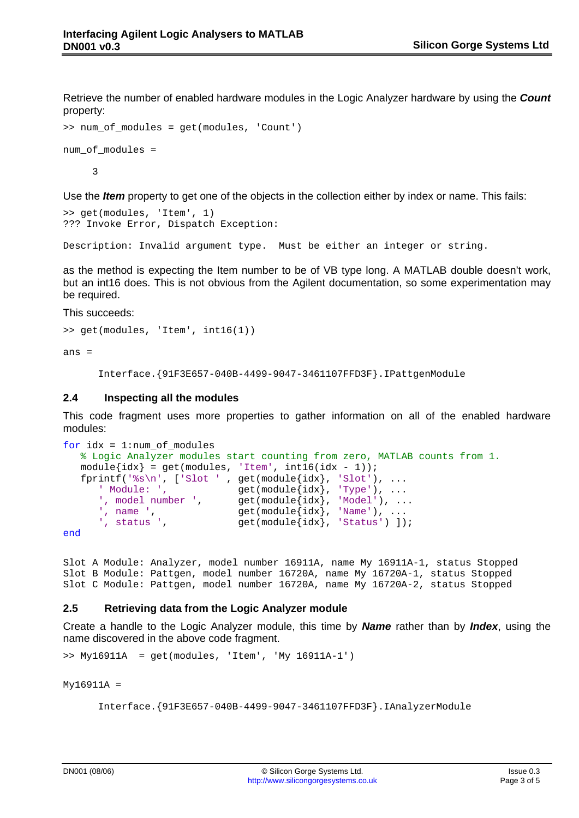Retrieve the number of enabled hardware modules in the Logic Analyzer hardware by using the *Count*  property:

```
>> num_of_modules = get(modules, 'Count') 
num of modules =
      3
```
Use the *Item* property to get one of the objects in the collection either by index or name. This fails:

```
>> get(modules, 'Item', 1) 
??? Invoke Error, Dispatch Exception:
```
Description: Invalid argument type. Must be either an integer or string.

as the method is expecting the Item number to be of VB type long. A MATLAB double doesn't work, but an int16 does. This is not obvious from the Agilent documentation, so some experimentation may be required.

This succeeds:

```
>> get(modules, 'Item', int16(1))
```
ans =

Interface.{91F3E657-040B-4499-9047-3461107FFD3F}.IPattgenModule

#### **2.4 Inspecting all the modules**

This code fragment uses more properties to gather information on all of the enabled hardware modules:

```
for idx = 1:num_of_modules 
    % Logic Analyzer modules start counting from zero, MATLAB counts from 1. 
  module\{idx\} = get(modules, 'Item', int16(idx - 1));fprintf('%s\n', ['Slot ' , get(module{idx}, 'Slot'), ...<br>' Module: ', get(module{idx}, 'Type'), ...
 ' Module: ', get(module{idx}, 'Type'), ... 
 ', model number ', get(module{idx}, 'Model'), ... 
 ', name ', get(module{idx}, 'Name'), ... 
      ', status ', get(module[idx], 'Status') ];
```
end

Slot A Module: Analyzer, model number 16911A, name My 16911A-1, status Stopped Slot B Module: Pattgen, model number 16720A, name My 16720A-1, status Stopped Slot C Module: Pattgen, model number 16720A, name My 16720A-2, status Stopped

#### **2.5 Retrieving data from the Logic Analyzer module**

Create a handle to the Logic Analyzer module, this time by *Name* rather than by *Index*, using the name discovered in the above code fragment.

>> My16911A = get(modules, 'Item', 'My 16911A-1')

My16911A =

```
 Interface.{91F3E657-040B-4499-9047-3461107FFD3F}.IAnalyzerModule
```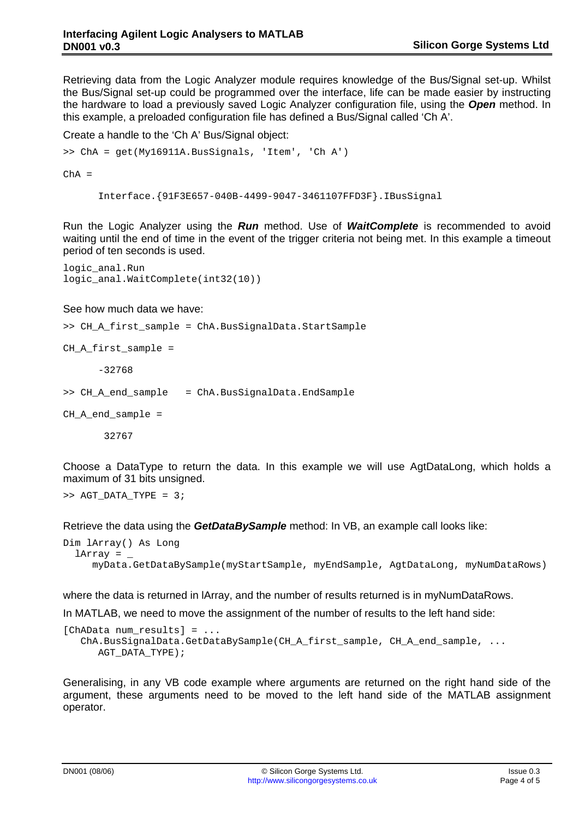Retrieving data from the Logic Analyzer module requires knowledge of the Bus/Signal set-up. Whilst the Bus/Signal set-up could be programmed over the interface, life can be made easier by instructing the hardware to load a previously saved Logic Analyzer configuration file, using the *Open* method. In this example, a preloaded configuration file has defined a Bus/Signal called 'Ch A'.

Create a handle to the 'Ch A' Bus/Signal object:

```
>> ChA = get(My16911A.BusSignals, 'Item', 'Ch A')
```
 $ChA =$ 

Interface.{91F3E657-040B-4499-9047-3461107FFD3F}.IBusSignal

Run the Logic Analyzer using the *Run* method. Use of *WaitComplete* is recommended to avoid waiting until the end of time in the event of the trigger criteria not being met. In this example a timeout period of ten seconds is used.

logic\_anal.Run logic\_anal.WaitComplete(int32(10))

#### See how much data we have:

```
>> CH_A_first_sample = ChA.BusSignalData.StartSample
```

```
CH A first sample =
```
-32768

>> CH\_A\_end\_sample = ChA.BusSignalData.EndSample

CH A end sample =

32767

Choose a DataType to return the data. In this example we will use AgtDataLong, which holds a maximum of 31 bits unsigned.

 $>>$  AGT DATA TYPE = 3;

Retrieve the data using the *GetDataBySample* method: In VB, an example call looks like:

```
Dim lArray() As Long 
  lArray = myData.GetDataBySample(myStartSample, myEndSample, AgtDataLong, myNumDataRows)
```
where the data is returned in lArray, and the number of results returned is in myNumDataRows.

In MATLAB, we need to move the assignment of the number of results to the left hand side:

```
[ChAData num_results] = ... 
   ChA.BusSignalData.GetDataBySample(CH_A_first_sample, CH_A_end_sample, ... 
      AGT_DATA_TYPE);
```
Generalising, in any VB code example where arguments are returned on the right hand side of the argument, these arguments need to be moved to the left hand side of the MATLAB assignment operator.